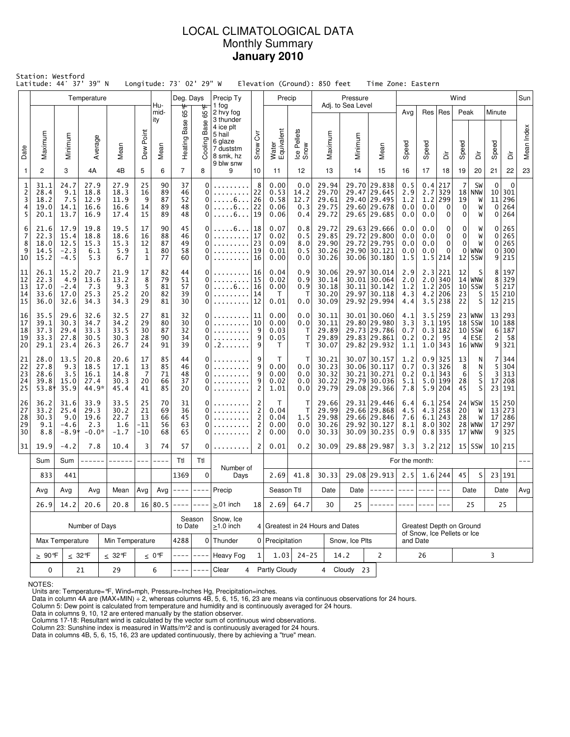# LOCAL CLIMATOLOGICAL DATA Monthly Summary **January 2010**

|                                    | Station: Westford<br>Latitude: 44° 37' 39" N |                                          |                                        |                                       |                                    |                            | Longitude: 73° 02' 29" W   |                                                  |                                                                                                          |                                              |                                      |                                   | Elevation (Ground): 850 feet              |                              | Time Zone: Eastern                                                           |                                                         |                                 |                                                                   |                                   |                                                         |                                       |                                      |            |
|------------------------------------|----------------------------------------------|------------------------------------------|----------------------------------------|---------------------------------------|------------------------------------|----------------------------|----------------------------|--------------------------------------------------|----------------------------------------------------------------------------------------------------------|----------------------------------------------|--------------------------------------|-----------------------------------|-------------------------------------------|------------------------------|------------------------------------------------------------------------------|---------------------------------------------------------|---------------------------------|-------------------------------------------------------------------|-----------------------------------|---------------------------------------------------------|---------------------------------------|--------------------------------------|------------|
|                                    |                                              |                                          | Temperature                            |                                       |                                    | Hu-                        | Deg. Days                  |                                                  | Precip Ty                                                                                                |                                              | Precip                               |                                   |                                           | Pressure                     |                                                                              |                                                         |                                 |                                                                   | Wind                              |                                                         |                                       |                                      | Sun        |
| Date                               | Maximum                                      | Minimum                                  | Average                                | Mean                                  | Dew Point                          | mid-<br>ity<br>Mean        | Heating Base 65 F          | ᡃᡛ<br>65<br>Base<br>Cooling                      | 1 fog<br>2 hvy fog<br>3 thunder<br>4 ice plt<br>5 hail<br>6 glaze<br>7 duststm<br>8 smk, hz<br>9 blw snw | δ<br>Snow                                    | Water<br>Equivalent                  | Ice Pellets<br>Snow               | Maximum                                   | Adj. to Sea Level<br>Minimum | Mean                                                                         | Avg<br>Speed                                            | Res<br>Speed                    | $ $ Res<br>à                                                      | Peak<br>Speed                     | $\ddot{\bar{\bar{\Omega}}}$                             | Minute<br>Speed                       | ă                                    | Mean Index |
| $\overline{1}$                     | 2                                            | 3                                        | 4A                                     | 4B                                    | 5                                  | 6                          | $\overline{7}$             | 8                                                | 9                                                                                                        | 10                                           | 11                                   | 12                                | 13                                        | 14                           | 15                                                                           | 16                                                      | 17                              | 18                                                                | 19                                | 20                                                      | 21                                    | 22                                   | 23         |
| 1<br>$\overline{c}$<br>3<br>4<br>5 | 31.1<br>28.4<br>18.2<br>19.0<br>20.1         | 24.7<br>9.1<br>7.5<br>14.1<br>13.7       | 27.9<br>18.8<br>12.9<br>16.6<br>16.9   | 27.9<br>18.3<br>11.9<br>16.6<br>17.4  | 25<br>16<br>9<br>14<br>15          | 90<br>89<br>87<br>89<br>89 | 37<br>46<br>52<br>48<br>48 | $\mathbf 0$<br>$\mathbf 0$<br>0<br>0<br>$\Omega$ | $\ldots 6 \ldots$<br>. 6<br>. 6                                                                          | 8<br>22<br>26<br>22<br>19                    | 0.00<br>0.53<br>0.58<br>0.06<br>0.06 | 0.0<br>14.2<br>12.7<br>0.3<br>0.4 | 29.94<br>29.70<br>29.61<br>29.75<br>29.72 |                              | 29.70 29.838<br>29.47 29.645<br>29.40 29.495<br>29.60 29.678<br>29.65 29.685 | 0.5<br>2.9<br>1.2<br>0.0<br>0.0                         | 0.4<br>2.7<br>1.2<br>0.0<br>0.0 | 217<br>329<br>299<br>0<br>0                                       | 7<br>18<br>19<br>0<br>$\mathbf 0$ | SW<br><b>NNW</b><br>W<br>W<br>W                         | $\mathbf 0$<br>10<br>11<br>0<br>0     | $\Omega$<br>301<br>296<br>264<br>264 |            |
| 6<br>7<br>8<br>9<br>10             | 21.6<br>22.3<br>18.0<br>14.5<br>15.2         | 17.9<br>15.4<br>12.5<br>$-2.3$<br>$-4.5$ | 19.8<br>18.8<br>15.3<br>6.1<br>5.3     | 19.5<br>18.6<br>15.3<br>5.9<br>6.7    | 17<br>16<br>12<br>1<br>$\mathbf 1$ | 90<br>88<br>87<br>80<br>77 | 45<br>46<br>49<br>58<br>60 | 0<br>0<br>0<br>0<br>$\Omega$                     | .<br>.<br>.                                                                                              | . 6   18<br>17<br>23<br>19<br>16             |                                      | 0.8<br>0.5<br>8.0<br>0.5<br>0.0   | 29.72<br>29.85<br>29.90<br>30.26<br>30.26 |                              | 29.63 29.666<br>29.72 29.800<br>29.72 29.795<br>29.90 30.121<br>30.06 30.180 | 0.0<br>0.0<br>0.0<br>0.0<br>1.5                         | 0.0<br>0.0<br>0.0<br>0.0        | 0<br>$\bf{0}$<br>$\mathbf 0$<br>$\mathbf 0$<br>$1.5$   214        | 0<br>0<br>0<br>0                  | W<br>W<br>W<br>WNW<br>$12$ SSW                          | 0<br>0<br>0<br>0<br>9                 | 265<br>265<br>265<br>300<br>215      |            |
| 11<br>12<br>13<br>14<br>15         | 26.1<br>22.3<br>17.0<br>33.6<br>36.0         | 15.2<br>4.9<br>$-2.4$<br>17.0<br>32.6    | 20.7<br>13.6<br>7.3<br>25.3<br>34.3    | 21.9<br>13.2<br>9.3<br>25.2<br>34.3   | 17<br>8<br>5<br>20<br>29           | 82<br>79<br>81<br>82<br>81 | 44<br>51<br>57<br>39<br>30 | 0<br>$\Omega$<br>0<br>0<br>$\Omega$              | .<br>.<br>1.1.1.1.1.1                                                                                    | 16<br>15<br>$\ldots 6 \ldots 16$<br>14<br>12 |                                      | 0.9<br>0.9<br>0.9<br>Т<br>0.0     | 30.06<br>30.14<br>30.18<br>30.20<br>30.09 |                              | 29.97 30.014<br>30.01 30.064<br>30.11 30.142<br>29.97 30.118<br>29.92 29.994 | 2.9<br>2.0<br>1.2<br>4.3<br>4.4                         | 4.2                             | 2.3 221<br>$2.0$ 340<br>$1.2$   205<br>206<br>$3.5$ 238           | 12<br>23<br>22                    | S<br>$14$ WNW<br>$10$ SSW<br>S<br>S                     | 8<br>8<br>5<br>15<br>12               | 197<br>329<br>217<br>210<br>215      |            |
| 16<br>17<br>18<br>19<br>20         | 35.5<br>39.1<br>37.3<br>33.3<br>29.1         | 29.6<br>30.3<br>29.4<br>27.8<br>23.4     | 32.6<br>34.7<br>33.3<br>30.5<br>26.3   | 32.5<br>34.2<br>33.5<br>30.3<br>26.7  | 27<br>29<br>30<br>28<br>24         | 81<br>80<br>87<br>90<br>91 | 32<br>30<br>32<br>34<br>39 | 0<br>$\Omega$<br>0<br>0<br>0                     | .<br>.<br>. 2                                                                                            | 11<br>10<br>9<br>9<br>9                      | 0.00<br>0.00<br>0.03<br>0.05<br>Τ    | 0.0<br>0.0<br>Т<br>т<br>т         | 30.11<br>30.11<br>29.89<br>29.89<br>30.07 |                              | 30.01 30.060<br>29.80 29.980<br>29.73 29.786<br>29.83 29.861<br>29.82 29.932 | 4.1<br>3.3<br>0.7<br>0.2<br>1.1                         | 3.1<br>0.2                      | $3.5$   259<br>195<br>$0.3$ 182<br>-95<br>$1.0$ 343               |                                   | $23$ WNW<br>$18$ SSW<br>$10$ SSW<br>$4$ ESE<br>$16$ WNW | 13<br>10<br>6 <br>2<br>9 <sup>1</sup> | 293<br>188<br>187<br>- 58<br>321     |            |
| 21<br>22<br>23<br>24<br>25         | 28.0<br>27.8<br>28.6<br>39.8<br>53.8*        | 13.5<br>9.3<br>3.5<br>15.0<br>35.9       | 20.8<br>18.5<br>16.1<br>27.4<br>44.9*  | 20.6<br>17.1<br>14.8<br>30.3<br>45.4  | 17<br>13<br>7<br>20<br>41          | 85<br>85<br>71<br>66<br>85 | 44<br>46<br>48<br>37<br>20 | 0<br>$\Omega$<br>0<br>0<br>0                     |                                                                                                          | 9<br>9<br>9<br>9<br>$\overline{2}$           | Τ<br>0.00<br>0.00<br>0.02<br>1.01    | т<br>0.0<br>0.0<br>0.0<br>0.0     | 30.21<br>30.23<br>30.32<br>30.22<br>29.79 |                              | 30.07 30.157<br>30.06 30.117<br>30.21 30.271<br>29.79 30.036<br>29.08 29.366 | 1.2<br>0.7<br>0.2<br>5.1<br>7.8                         |                                 | $0.9$   325<br>$0.3$ 326<br>$0.1$   343<br>5.0 199<br>$5.9$   204 | 13<br>8<br>6<br>28<br>45          | N<br>N<br>S<br>S<br>S                                   | 7<br>5<br>3<br>17<br>23               | 344<br>304<br>313<br>208<br>191      |            |
| 26<br>27<br>28<br>29<br>30         | 36.2<br>33.2<br>30.3<br>9.1<br>8.8           | 31.6<br>25.4<br>9.0<br>$-4.6$<br>$-8.9*$ | 33.9<br>29.3<br>19.6<br>2.3<br>$-0.0*$ | 33.5<br>30.2<br>22.7<br>1.6<br>$-1.7$ | 25<br>21<br>13<br>$-11$<br>$-10$   | 70<br>69<br>66<br>56<br>68 | 31<br>36<br>45<br>63<br>65 | 0<br>0<br>0<br>0<br>0                            |                                                                                                          | 2<br>2<br>2<br>2<br>$\overline{2}$           | Τ<br>0.04<br>0.04<br>0.00<br>0.00    | т<br>Т<br>1.5<br>0.0<br>0.0       | 29.66<br>29.99<br>29.98<br>30.26<br>30.33 |                              | 29.31 29.446<br>29.66 29.868<br>29.66 29.846<br>29.92 30.127<br>30.09 30.235 | 6.4<br>4.5<br>7.6<br>8.1<br>0.9                         | 6.1                             | $6.1$   254<br>$4.3$ 258<br>243<br>$8.0$   302<br>$0.8$ 335       | 20<br>28                          | $24$ WSW<br>W<br>W<br>$28$   WNW<br>$17$ WNW            | 13<br>17<br>17<br>9                   | 15 250<br>273<br>286<br>297<br>325   |            |
| 31                                 | 19.9                                         | $-4.2$                                   | 7.8                                    | 10.4                                  | 3                                  | 74                         | 57                         | 0                                                |                                                                                                          | 2                                            | 0.01                                 | 0.2                               | 30.09                                     |                              | 29.88 29.987                                                                 | 3.3                                                     |                                 | $3.2$ 212                                                         |                                   | $15$ SSW                                                |                                       | 10 215                               |            |
|                                    | Sum                                          | Sum                                      | ------                                 | ------                                | $---$                              | $- - - -$                  | Ttl                        | Ttl                                              | Number of                                                                                                |                                              |                                      |                                   |                                           |                              |                                                                              | For the month:                                          |                                 |                                                                   |                                   |                                                         |                                       |                                      |            |
|                                    | 833                                          | 441                                      |                                        | 1369                                  | $\mathbf 0$                        | Days                       |                            | 2.69                                             | 41.8                                                                                                     | 30.33                                        |                                      | 29.08 29.913                      | 2.5                                       | $1.6$ 244                    |                                                                              | 45                                                      | S                               |                                                                   | 23 191                            |                                                         |                                       |                                      |            |
|                                    | Avg                                          | Avg<br>Avg<br>Avg<br>Mean<br>20.6        |                                        |                                       |                                    |                            | Avg $ ----  -----$         |                                                  | Precip                                                                                                   |                                              | Season Ttl                           |                                   | Date                                      |                              | Date $ ----- ----- -----$                                                    |                                                         |                                 |                                                                   |                                   | Date                                                    |                                       | Date                                 | Avg        |
|                                    | 26.9                                         | 14.2                                     | 20.8                                   |                                       | 16 80.5                            | $- - - -$                  | $- - - -$<br>Season        | $> 01$ inch<br>Snow, Ice                         | 18                                                                                                       | 2.69                                         | 64.7                                 | 30                                | 25                                        |                              |                                                                              |                                                         |                                 |                                                                   | 25                                |                                                         | 25                                    |                                      |            |
|                                    | Number of Days                               |                                          |                                        |                                       |                                    |                            | to Date                    |                                                  | $\geq$ 1.0 inch                                                                                          |                                              |                                      |                                   | 4 Greatest in 24 Hours and Dates          |                              |                                                                              | Greatest Depth on Ground<br>of Snow, Ice Pellets or Ice |                                 |                                                                   |                                   |                                                         |                                       |                                      |            |
|                                    | Max Temperature<br>Min Temperature           |                                          |                                        |                                       |                                    |                            | 4288                       |                                                  | $0$ Thunder                                                                                              |                                              | 0 Precipitation                      |                                   |                                           | Snow, Ice Plts               |                                                                              | and Date                                                |                                 |                                                                   |                                   |                                                         |                                       |                                      |            |
|                                    | $\geq 90$ °F<br>$\leq 32$ °F<br>$\leq 32$ °F |                                          |                                        |                                       |                                    | $\leq 0$ °F                |                            |                                                  | Heavy Fog                                                                                                | $\mathbf{1}$                                 |                                      | $1.03$ 24-25                      | 14.2                                      |                              | 2                                                                            |                                                         | 26                              |                                                                   |                                   |                                                         | 3                                     |                                      |            |
|                                    | 0<br>21<br>29                                |                                          |                                        |                                       |                                    |                            |                            |                                                  | Clear<br>4                                                                                               |                                              | Partly Cloudy                        |                                   |                                           | 4 Cloudy 23                  |                                                                              |                                                         |                                 |                                                                   |                                   |                                                         |                                       |                                      |            |

NOTES:

Units are: Temperature=°F, Wind=mph, Pressure=Inches Hg, Precipitation=inches. Data in column 4A are (MAX+MIN) ÷ 2, whereas columns 4B, 5, 6, 15, 16, 23 are means via continuous observations for 24 hours.

Column 5: Dew point is calculated from temperature and humidity and is continuously averaged for 24 hours. Data in columns 9, 10, 12 are entered manually by the station observer.

Columns 17-18: Resultant wind is calculated by the vector sum of continuous wind observations.<br>Column 23: Sunshine index is measured in Watts/m^2 and is continuously averaged for 24 hours.<br>Data in columns 4B, 5, 6, 15, 16,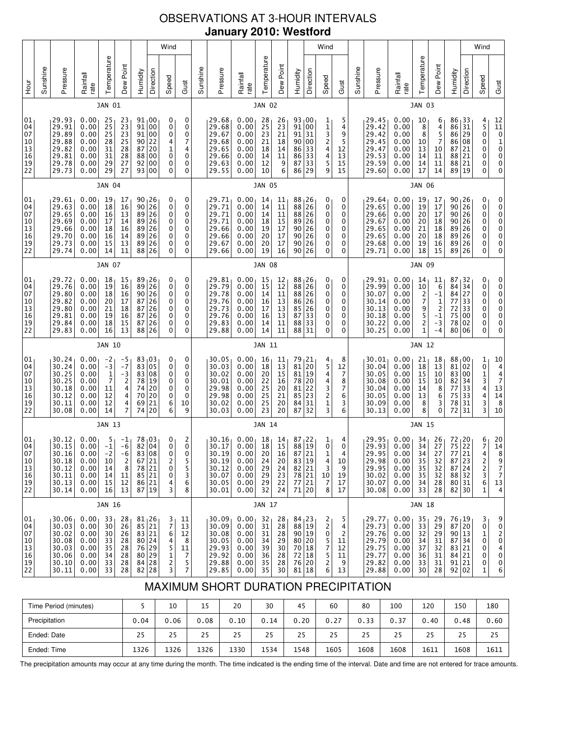# OBSERVATIONS AT 3-HOUR INTERVALS **January 2010: Westford**

| <b>Hour</b>                                                          | Sunshine      |                                                                      | Pressure                                                                  | Rainfall<br>rate                                                       | Temperature                                            | Dew Point<br>JAN 01                    | Humidity                                                                                             | Direction                                                                           | Wind<br>Speed                               | Gust | Sunshine                                                             | Pressure                                                     | Rainfall<br>rate                             | Temperature                                  | Dew Point<br><b>JAN 02</b>                                                                                                       | Humidity       | Direction                                        | Wind<br>Speed                                         | Gust | Sunshine                                                             | Pressure                                                                  | Rainfall<br>rate                                             | Temperature                                                                 | Dew Point<br><b>JAN 03</b>                                                | Humidity                                                   | Direction                                                                            | Wind<br>Speed                                                |
|----------------------------------------------------------------------|---------------|----------------------------------------------------------------------|---------------------------------------------------------------------------|------------------------------------------------------------------------|--------------------------------------------------------|----------------------------------------|------------------------------------------------------------------------------------------------------|-------------------------------------------------------------------------------------|---------------------------------------------|------|----------------------------------------------------------------------|--------------------------------------------------------------|----------------------------------------------|----------------------------------------------|----------------------------------------------------------------------------------------------------------------------------------|----------------|--------------------------------------------------|-------------------------------------------------------|------|----------------------------------------------------------------------|---------------------------------------------------------------------------|--------------------------------------------------------------|-----------------------------------------------------------------------------|---------------------------------------------------------------------------|------------------------------------------------------------|--------------------------------------------------------------------------------------|--------------------------------------------------------------|
| 29.93<br>29.91<br>29.89<br>29.88<br>29.82<br>29.81<br>29.78<br>29.73 |               |                                                                      | 0.00<br>0.00<br>0.00<br>0.00<br>0.00<br>0.00<br>0.00<br>0.00              | 25<br>25<br>25<br>28<br>31<br>31<br>29<br>29                           | 23<br>23<br>23<br>25<br>28<br>28<br>27<br>27           | 91<br>91<br>87<br>88<br>92<br>93       | 91 00<br>00<br>00<br>$90$ 22<br>20<br>00<br>00<br>00                                                 | 0<br>0<br>0<br>4<br>$\mathbf{1}$<br>0<br>0<br>0                                     | 0<br>0<br>0<br>7<br>4<br>0<br>0<br>0        |      | 29.68<br>29.68<br>29.67<br>29.68<br>29.65<br>29.66<br>29.63<br>29.55 | 0.00<br>0.00<br>0.00<br>0.00<br>0.00<br>0.00<br>0.00<br>0.00 | 28<br>25<br>23<br>21<br>18<br>14<br>12<br>10 | 26<br>23<br>21<br>18<br>14<br>11<br>9<br>6   | 93 00<br>91 00<br>91 31<br>90 00<br>86 33<br>86<br>87<br>86                                                                      | 33<br>33<br>29 | 1<br>1<br>3<br>$\frac{2}{4}$<br>4<br>5<br>9      | 5<br>4<br>9<br>5<br>12<br>13<br>15<br>15              |      | 29.45<br>29.42<br>29.42<br>29.45<br>29.47<br>29.53<br>29.59<br>29.60 | 0.00<br>0.00<br>0.00<br>0.00<br>0.00<br>0.00<br>0.00<br>0.00              | 10<br>8<br>8<br>10<br>13<br>14<br>14<br>17                   | 6<br>$\begin{array}{c} 4 \\ 5 \\ 7 \end{array}$<br>10<br>11<br>11<br>14     | 86<br>86<br>87<br>88<br>88 21<br>89                                       | 86 <sub>1</sub> 33<br>31<br>29<br>86 08<br>21<br>21<br> 19 | 4<br>$\frac{5}{0}$<br>0<br>0<br>0<br>0<br>0                                          | $\begin{bmatrix} 12 \\ 11 \\ 0 \\ 1 \\ 0 \\ 0 \end{bmatrix}$ |
|                                                                      |               |                                                                      |                                                                           | <b>JAN 04</b>                                                          |                                                        |                                        |                                                                                                      |                                                                                     |                                             |      |                                                                      |                                                              | <b>JAN 05</b>                                |                                              |                                                                                                                                  |                |                                                  |                                                       |      |                                                                      |                                                                           | <b>JAN 06</b>                                                |                                                                             |                                                                           |                                                            |                                                                                      |                                                              |
| 01<br>04<br>07<br>10<br>13<br>16<br>19<br>22                         |               | 29.61<br>29.63<br>29.65<br>29.69<br>29.66<br>29.70<br>29.73<br>29.74 | 0.00<br>0.00<br>0.00<br>0.00<br>0.00<br>0.00<br>0.00<br>0.00              | 19<br>18<br>16<br>17<br>18<br>16<br>15<br>14                           | 17<br>16<br>13<br>14<br>16<br>14<br>13<br>11           | 89<br>88                               | $\begin{array}{c c} 90 & 26 \\ 90 & 26 \end{array}$<br>26<br>26                                      | 0<br>0<br>0<br>0<br>0<br>0<br>0<br>0                                                | 0<br>0<br>0<br>0<br>0<br>0<br>0<br>0        |      | 29.71<br>29.71<br>29.71<br>29.71<br>29.66<br>29.66<br>29.67<br>29.66 | 0.00<br>0.00<br>0.00<br>0.00<br>0.00<br>0.00<br>0.00<br>0.00 | 14<br>14<br>14<br>18<br>19<br>20<br>20<br>19 | 11<br>11<br>11<br>15<br>17<br>17<br>17<br>16 | 88 26<br>88 26<br>88 26<br>89 26<br>90 26<br>90 26<br>90 26<br>90 26                                                             |                | 0<br>0<br>0<br>0<br>0<br>0<br>0<br>0             | 0<br>0<br>0<br>0<br>0<br>0<br>0<br>0                  |      | 29.64<br>29.65<br>29.66<br>29.67<br>29.65<br>29.65<br>29.68<br>29.71 | 0.00<br>0.00<br>0.00<br>0.00<br>0.00<br>0.00<br>0.00<br>0.00              | 19<br>19<br>20<br>20<br>21<br>20<br>19<br>18                 | $\begin{array}{c} 17 \\ 17 \end{array}$<br>17<br>18<br>18<br>18<br>16<br>15 | 90 <sub>1</sub> 26<br>90<br>90 26<br>90<br>89<br>89 26<br>89              | 26<br>26<br>26<br> 26<br>89 26                             | 0<br>0<br>0<br>0<br>0<br>0<br>0<br>0                                                 |                                                              |
|                                                                      | <b>JAN 07</b> |                                                                      |                                                                           |                                                                        |                                                        |                                        |                                                                                                      |                                                                                     |                                             |      |                                                                      | <b>JAN 08</b>                                                |                                              |                                              |                                                                                                                                  |                |                                                  |                                                       |      |                                                                      | <b>JAN 09</b>                                                             |                                                              |                                                                             |                                                                           |                                                            |                                                                                      |                                                              |
| 01<br>04<br>07<br>10<br>13<br>16<br>19<br>22                         |               | 29.72<br>29.76<br>29.80<br>29.82<br>29.80<br>29.81<br>29.84<br>29.83 | 0.00<br>0.00<br>0.00<br>0.00<br>0.00<br>0.00<br>0.00<br>0.00              | 18<br>19<br>18<br>20<br>21<br>19<br>18<br>16                           | 15<br>16<br>16<br>17<br>18<br>16<br>15<br>13           | 89<br>$90\,$<br>88                     | 89,26<br>26<br>26<br>$\begin{array}{c} 87 \\ 87 \\ 26 \\ 87 \\ 26 \\ 126 \end{array}$<br>87 26<br>26 | 0<br>0<br>0<br>0<br>0<br>0<br>0<br>0                                                | 0<br>0<br>0<br>0<br>0<br>0<br>0<br>0        |      | 29.81<br>29.79<br>29.78<br>29.76<br>29.73<br>29.76<br>29.83<br>29.88 | 0.00<br>0.00<br>0.00<br>0.00<br>0.00<br>0.00<br>0.00<br>0.00 | 15<br>15<br>14<br>16<br>17<br>16<br>14<br>14 | 12<br>12<br>11<br>13<br>13<br>13<br>11<br>11 | 88 <sub>1</sub> 26<br>88 26<br>88 26<br>86 26<br>85 26<br>87<br>88<br>88 31                                                      | 33<br>33       | 0<br>0<br>0<br>0<br>0<br>0<br>0<br>0             | 0<br>0<br>0<br>0<br>0<br>0<br>0<br>0                  |      | 29.91<br>29.99<br>30.07<br>30.14<br>30.13<br>30.18<br>30.22<br>30.25 | 0.00<br>0.00<br>0.00<br>0.00<br>0.00<br>0.00<br>0.00<br>0.00              | 14<br>10<br>2<br>7<br>9<br>5<br>$\mathsf{2}$<br>$\mathbf{1}$ | 11<br>$\boldsymbol{6}$<br>-1<br>1<br>$\frac{2}{-1}$<br>$-3$<br>$-4$         | 87, 32<br>84<br>84<br>77<br>72<br>75<br>78<br>80                          | 34<br>27<br>33<br>33<br>00<br>02<br>06                     | 0<br>0<br>0<br>0<br>0<br>0<br>0<br>0                                                 |                                                              |
|                                                                      |               |                                                                      |                                                                           | JAN 10                                                                 |                                                        |                                        |                                                                                                      |                                                                                     |                                             |      |                                                                      |                                                              | JAN 11                                       |                                              |                                                                                                                                  |                |                                                  |                                                       |      |                                                                      |                                                                           | JAN 12                                                       |                                                                             |                                                                           |                                                            |                                                                                      |                                                              |
| 01<br>04<br>07<br>10<br>13<br>16<br>19<br>22                         |               | 30.24<br>30.24<br>30.25<br>30.25<br>30.18<br>30.12<br>30.11<br>30.08 | 0.00<br>0.00<br>0.00<br>0.00<br>0.00<br>0.00<br>0.00<br>0.00              | $-2$<br>$-3$<br>$\mathbf{1}$<br>$\overline{7}$<br>11<br>12<br>12<br>14 | -5<br>$-7$<br>-3<br>$\overline{c}$<br>4<br>4<br>4<br>7 | 83<br>83<br>78<br>74<br>70<br>69<br>74 | 83,03<br>05<br>08<br>19<br>20<br>20<br>21<br>20                                                      | 0<br>0<br>0<br>0<br>0<br>0<br>6<br>10<br>6                                          | 0<br>0<br>0<br>0<br>0<br>0<br>9             |      | 30.05<br>30.03<br>30.02<br>30.01<br>29.98<br>29.98<br>30.02<br>30.03 | 0.00<br>0.00<br>0.00<br>0.00<br>0.00<br>0.00<br>0.00<br>0.00 | 16<br>18<br>20<br>22<br>25<br>25<br>25<br>23 | 11<br>13<br>15<br>16<br>20<br>21<br>20<br>20 | 79,21<br>81 20<br>81 19<br>78 20<br>$\begin{array}{c} 81 \\ 85 \\ 23 \end{array}$<br>84<br>87                                    | 31<br>32       | 4<br>5<br>4<br>4<br>3<br>2<br>1<br>3             | 8<br>12<br>7<br>8<br>7<br>6<br>3<br>6                 |      | 30.01<br>30.04<br>30.05<br>30.08<br>30.04<br>30.05<br>30.09<br>30.13 | 0.00<br>0.00<br>0.00<br>0.00<br>0.00<br>0.00<br>0.00<br>0.00              | 21<br>18<br>15<br>15<br>14<br>13<br>8<br>8                   | 18<br>13<br>10<br>10<br>8<br>$\boldsymbol{6}$<br>3<br>0                     | 88 <sub>1</sub> 00<br>81<br>83 00<br>82<br>77<br>75<br>78<br>72           | 02<br>34<br>33<br>33<br>31<br>31                           | 1<br>$\bf{0}$<br>1<br>3<br>4<br>4<br>3<br>3                                          |                                                              |
|                                                                      |               |                                                                      |                                                                           | JAN 13                                                                 |                                                        |                                        |                                                                                                      |                                                                                     |                                             |      |                                                                      |                                                              | <b>JAN 14</b>                                |                                              |                                                                                                                                  |                |                                                  |                                                       |      |                                                                      |                                                                           | <b>JAN 15</b>                                                |                                                                             |                                                                           |                                                            |                                                                                      |                                                              |
| 01<br>04<br>07<br>10<br>13<br>16<br>19<br>22                         |               | 30.12<br>30.15<br>30.16<br>30.18<br>30.12<br>30.11<br>30.13<br>30.14 | 0.00<br>0.00<br>0.00<br>0.00<br>0.00<br>0.00<br>0.00<br>0.00              | 5<br>$^{\rm -1}$<br>$-2$<br>10<br>14<br>14<br>15<br>16                 | $-1$<br>$-6$<br>$-6$<br>2<br>8<br>11<br>12<br>13       | 78                                     | 03<br>82 04<br>83 08<br>67 21<br>78 21<br>85 21<br>86 21<br>87 19                                    | $_0^0$<br>$\Omega$<br>2<br>0<br>0<br>4<br>3                                         | 2<br>0<br>$\Omega$<br>5<br>5<br>3<br>6<br>8 |      | 30.16<br>30.17<br>30.19<br>30.19<br>30.12<br>30.07<br>30.05<br>30.01 | 0.00<br>0.00<br>0.00<br>0.00<br>0.00<br>0.00<br>0.00<br>0.00 | 18<br>18<br>20<br>24<br>29<br>29<br>29<br>32 | 14<br>15<br>16<br>20<br>24<br>23<br>22<br>24 | 87 <sub>1</sub> 22<br>88<br>87 21<br>$\begin{array}{c c} 83 & 19 \\ 82 & 21 \\ 78 & 21 \\ -2 & 21 \end{array}$<br>77 21<br>71 20 | $\vert$ 19     | 1<br>0<br>$\mathbf{1}$<br>4<br>3<br>10<br>7<br>8 | 4<br>0<br>$\overline{4}$<br>10<br>9<br>19<br>17<br>17 |      | 29.95<br>29.93<br>29.95<br>29.98<br>29.95<br>30.02<br>30.07<br>30.08 | 0.00<br>0.00<br>0.00<br>0.00<br>0.00<br>0.00<br>0.00<br>0.00              | 34<br>34<br>34<br>35<br>35<br>35<br>34<br>33                 | 26<br>27<br>27<br>32<br>32<br>32<br>28<br>28                                | $72 \mid 20$<br>75<br>77<br>87 23<br>87 24<br>88 32<br>80 31<br>82 30     | 22<br>21                                                   | $\begin{array}{c} 6 \\ 7 \end{array}$<br>4<br>$\frac{2}{2}$<br>3<br>6<br>$\mathbf 1$ | 14<br>13                                                     |
|                                                                      |               |                                                                      |                                                                           | JAN 16                                                                 |                                                        |                                        |                                                                                                      |                                                                                     |                                             |      |                                                                      |                                                              | JAN 17                                       |                                              |                                                                                                                                  |                |                                                  |                                                       |      |                                                                      |                                                                           | JAN 18                                                       |                                                                             |                                                                           |                                                            |                                                                                      |                                                              |
| 01<br>04<br>07<br>10<br>13<br>16<br>19<br>22                         |               | 30.06<br>30.03<br>30.02<br>30.08<br>30.03<br>30.06<br>30.10<br>30.11 | 0.00 <sub>1</sub><br>0.00<br>0.00<br>0.00<br>0.00<br>0.00<br>0.00<br>0.00 | 33<br>30<br>30<br>33<br>35<br>34<br>33<br>33                           | 28<br>26<br>26<br>28<br>28<br>28<br>28<br>28           | 83 21                                  | 81,26<br>85 21<br>80 24<br>76 29<br>80 29<br>84 28<br>82 28                                          | 11<br>3<br>$\overline{7}$<br>13<br>6<br>12<br>4<br>5<br>11<br>$\mathbf 1$<br>2<br>3 | 8<br>7<br>5<br>7                            |      | 30.09<br>30.09<br>30.08<br>30.05<br>29.93<br>29.92<br>29.88<br>29.85 | 0.00<br>0.00<br>0.00<br>0.00<br>0.00<br>0.00<br>0.00<br>0.00 | 32<br>31<br>31<br>34<br>39<br>36<br>35<br>35 | 28<br>28<br>28<br>29<br>30<br>28<br>28<br>30 | 84 <sub>1</sub> 23<br>88 19<br>90 19<br>80 20<br>70 18<br>72 18<br>76 20<br>81 18                                                |                | 2<br>2<br>0<br>5<br>7<br>5<br>2<br>6             | 5<br>4<br>2<br>11<br>12<br>11<br>9<br>13              |      | 29.77<br>29.73<br>29.76<br>29.79<br>29.75<br>29.77<br>29.82<br>29.88 | 0.00 <sub>1</sub><br>0.00<br>0.00<br>0.00<br>0.00<br>0.00<br>0.00<br>0.00 | 35<br>33<br>32<br>34<br>37<br>36<br>33<br>30                 | 29<br>29<br>29<br>31<br>32<br>31<br>31<br>28                                | $76_{1}19$<br>87 20<br>90 13<br>87 34<br>83 21<br>84 21<br>91 21<br>92 02 |                                                            | 3<br>0<br>$\mathbf 1$<br>0<br>0<br>0<br>0<br>1                                       |                                                              |

# MAXIMUM SHORT DURATION PRECIPITATION

| Time Period (minutes) |      | 10   | 15   | 20   | 30   | 45   | 60   | 80   | 100  | 120  | 150  | 180  |
|-----------------------|------|------|------|------|------|------|------|------|------|------|------|------|
| Precipitation         | 0.04 | 0.06 | 0.08 | 0.10 | 0.14 | 0.20 | 0.27 | 0.33 | 0.37 | 0.40 | 0.48 | 0.60 |
| Ended: Date           | 25   | 25   | 25   | 25   | 25   | 25   | 25   | 25   | 25   | 25   | 25   | 25   |
| Ended: Time           | 1326 | 1326 | 1326 | 1330 | 1534 | 1548 | 1605 | 1608 | 1608 | 1611 | 1608 | 1611 |

The precipitation amounts may occur at any time during the month. The time indicated is the ending time of the interval. Date and time are not entered for trace amounts.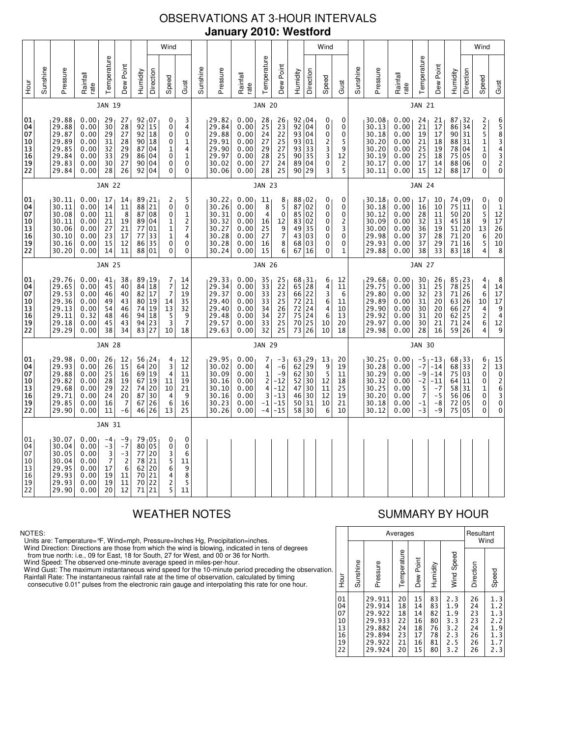# OBSERVATIONS AT 3-HOUR INTERVALS **January 2010: Westford**

|                                              |               |                                                                      |                                                              |                                                       |                                                             |                                           |                                                                                | Wind                                                                                     |                                                                                           |               |                                                                      |                                                              |                                                     |                                                                                               |                                                                |                                                                                    | Wind                                                                     |                                              |          |                                                                      |                                                              |                                                                 |                                                                  |                                                              |                                                                             | Wind                                                                                     |                                                                                                             |
|----------------------------------------------|---------------|----------------------------------------------------------------------|--------------------------------------------------------------|-------------------------------------------------------|-------------------------------------------------------------|-------------------------------------------|--------------------------------------------------------------------------------|------------------------------------------------------------------------------------------|-------------------------------------------------------------------------------------------|---------------|----------------------------------------------------------------------|--------------------------------------------------------------|-----------------------------------------------------|-----------------------------------------------------------------------------------------------|----------------------------------------------------------------|------------------------------------------------------------------------------------|--------------------------------------------------------------------------|----------------------------------------------|----------|----------------------------------------------------------------------|--------------------------------------------------------------|-----------------------------------------------------------------|------------------------------------------------------------------|--------------------------------------------------------------|-----------------------------------------------------------------------------|------------------------------------------------------------------------------------------|-------------------------------------------------------------------------------------------------------------|
| тон<br>Н                                     | Sunshine      | Pressure                                                             | Rainfall<br>rate                                             | Temperature                                           | Dew Point                                                   | Humidity                                  | Direction                                                                      | Speed<br>Gust                                                                            |                                                                                           | Sunshine      | Pressure                                                             | Rainfall<br>rate                                             | Temperature                                         | Dew Point                                                                                     | Humidity                                                       | Direction                                                                          | Speed                                                                    | Gust                                         | Sunshine | Pressure                                                             | Rainfall<br>rate                                             | Temperature                                                     | Dew Point                                                        | Humidity                                                     | Direction                                                                   | Speed                                                                                    | Gust                                                                                                        |
|                                              |               |                                                                      |                                                              | JAN 19                                                |                                                             |                                           |                                                                                |                                                                                          |                                                                                           |               |                                                                      |                                                              | <b>JAN 20</b>                                       |                                                                                               |                                                                |                                                                                    |                                                                          |                                              |          |                                                                      |                                                              | <b>JAN 21</b>                                                   |                                                                  |                                                              |                                                                             |                                                                                          |                                                                                                             |
| 01<br>04<br>07<br>10<br>13<br>16<br>19<br>22 |               | 29.88<br>29.88<br>29.87<br>29.89<br>29.85<br>29.84<br>29.83<br>29.84 | 0.00<br>0.00<br>0.00<br>0.00<br>0.00<br>0.00<br>0.00<br>0.00 | 29<br>30<br>29<br>31<br>32<br>33<br>30<br>28          | 27<br>28<br>27<br>28<br>29<br>29<br>27<br>26                | 92<br>$\overline{92}$<br>90<br>87         | 92 07<br>15<br>18<br>18<br>04<br>86 04<br>90 04<br>92 04                       | 0<br>0<br>0<br>0<br>1<br>0<br>0<br>0                                                     | 3<br>4<br>$\mathbf 0$<br>1<br>4<br>$\mathbf 1$<br>0<br>0                                  |               | 29.82<br>29.84<br>29.88<br>29.91<br>29.90<br>29.97<br>30.02<br>30.06 | 0.00<br>0.00<br>0.00<br>0.00<br>0.00<br>0.00<br>0.00<br>0.00 | 28<br>25<br>24<br>27<br>29<br>28<br>27<br>28        | 26<br>$\begin{array}{c} 23 \\ 22 \end{array}$<br>25<br>27<br>25<br>24<br>25                   | 92   04<br>92<br>$\overline{93}$<br>93<br>93<br>90<br>89<br>90 | 04<br>04<br>01<br>33<br>35<br>04<br>29                                             | 0<br>0<br>0<br>2<br>$\frac{3}{3}$<br>0<br>3                              | 0<br>0<br>0<br>5<br>9<br>12<br>5             |          | 30.08<br>30.13<br>30.18<br>30.20<br>30.20<br>30.19<br>30.17<br>30.11 | 0.00<br>0.00<br>0.00<br>0.00<br>0.00<br>0.00<br>0.00<br>0.00 | 24<br>21<br>19<br>21<br>25<br>25<br>17<br>15                    | 21<br>17<br>17<br>18<br>19<br>18<br>14<br>12                     | $87 + 32$<br>86<br>90<br>88<br>78<br>75<br>88<br>88 17       | 34<br>31<br>31<br>04<br>05<br>06                                            | $\begin{array}{c} 2 \\ 2 \\ 5 \end{array}$<br>$\mathbf 1$<br>$\mathbf{1}$<br>0<br>0<br>0 | 65834320                                                                                                    |
|                                              |               |                                                                      |                                                              | <b>JAN 22</b>                                         |                                                             |                                           |                                                                                |                                                                                          |                                                                                           |               |                                                                      |                                                              | <b>JAN 23</b>                                       |                                                                                               |                                                                |                                                                                    |                                                                          |                                              |          |                                                                      |                                                              | <b>JAN 24</b>                                                   |                                                                  |                                                              |                                                                             |                                                                                          |                                                                                                             |
| 01<br>04<br>07<br>10<br>13<br>16<br>19<br>22 |               | 30.11<br>30.11<br>30.08<br>30.11<br>30.06<br>30.10<br>30.16<br>30.20 | 0.00<br>0.00<br>0.00<br>0.00<br>0.00<br>0.00<br>0.00<br>0.00 | 17<br>14<br>11<br>21<br>27<br>23<br>15<br>14          | 14<br>11<br>8<br>19<br>21<br>17<br>12<br>11                 | 89<br>88<br>87<br>77<br>77<br>86<br>88    | $\frac{21}{21}$<br>08<br>89 04<br>01<br>33<br>35<br>01                         | 2<br>$\mathbf 0$<br>0<br>$\frac{1}{1}$<br>$\mathbf 1$<br>$\pmb{0}$<br>0                  | $\begin{smallmatrix}5\\0\end{smallmatrix}$<br>$\mathbf 1$<br>$\frac{2}{7}$<br>4<br>0<br>0 |               | 30.22<br>30.26<br>30.31<br>30.32<br>30.27<br>30.28<br>30.28<br>30.24 | 0.00<br>0.00<br>0.00<br>0.00<br>0.00<br>0.00<br>0.00<br>0.00 | 11<br>8<br>4<br>16<br>25<br>27<br>16<br>15          | $\begin{array}{c} 8 \\ 5 \end{array}$<br>$\mathbf 0$<br>12<br>9<br>$\boldsymbol{7}$<br>8<br>6 | 88<br>87<br>85<br>83<br>49<br>43<br>68<br>67                   | ⊥02<br>02<br>02<br>02<br>35<br>03<br>03<br>16                                      | 0<br>0<br>0<br>0<br>0<br>0<br>0<br>0                                     | 0<br>0<br>0<br>2<br>3<br>0<br>0<br>1         |          | 30.18<br>30.18<br>30.12<br>30.09<br>30.00<br>29.98<br>29.93<br>29.88 | 0.00<br>0.00<br>0.00<br>0.00<br>0.00<br>0.00<br>0.00<br>0.00 | 17<br>16<br>28<br>32<br>36<br>37<br>37<br>38                    | 10<br>10<br>11<br>13<br>19<br>28<br>29<br>33                     | 74,09<br>75<br>50<br>45<br>51<br>71<br>71<br>83              | 11<br>20<br>18<br>20<br>20<br>16<br>18                                      | 0<br>0<br>5<br>9<br>13<br>6<br>5<br>4                                                    | $\begin{smallmatrix}0\1\end{smallmatrix}$<br>$\begin{array}{c} 12 \\ 17 \\ 26 \\ 20 \\ 10 \\ 8 \end{array}$ |
|                                              | <b>JAN 25</b> |                                                                      |                                                              |                                                       |                                                             |                                           |                                                                                |                                                                                          |                                                                                           | <b>JAN 26</b> |                                                                      |                                                              |                                                     |                                                                                               |                                                                |                                                                                    |                                                                          |                                              |          |                                                                      | <b>JAN 27</b>                                                |                                                                 |                                                                  |                                                              |                                                                             |                                                                                          |                                                                                                             |
| 01<br>04<br>07<br>10<br>13<br>16<br>19<br>22 |               | 29.76<br>29.65<br>29.53<br>29.36<br>29.13<br>29.11<br>29.18<br>29.29 | 0.00<br>0.00<br>0.00<br>0.00<br>0.00<br>0.32<br>0.00<br>0.00 | 41<br>45<br>46<br>49<br>54<br>48<br>45<br>38          | 38<br>40<br>40<br>43<br>46<br>46<br>43<br>34                | 82<br>80<br>74<br>94<br>83 27             | 89 19<br>84 18<br>17<br>19<br>19<br>18<br>$94$ 23                              | 7<br>14<br>7<br>12<br>$\overline{7}$<br>19<br>35<br>14<br>32<br>13<br>5<br>3<br>10<br>18 | 9<br>$\overline{7}$                                                                       |               | 29.33<br>29.34<br>29.37<br>29.40<br>29.40<br>29.48<br>29.57<br>29.63 | 0.00<br>0.00<br>0.00<br>0.00<br>0.00<br>0.00<br>0.00<br>0.00 | 35<br>33<br>33<br>33<br>34<br>34<br>33<br>32        | 25<br>22<br>23<br>25<br>26<br>27<br>25<br>25                                                  | 68, 31<br>65<br>66<br>72<br>$72\,$<br>75<br>70<br>73           | 28<br>22<br>21<br>$\begin{array}{c} 24 \\ 24 \end{array}$<br>$\overline{25}$<br>26 | 6<br>4<br>3<br>6<br>$\begin{array}{c} 4 \\ 6 \end{array}$<br>10<br>10    | 12<br>11<br>6<br>11<br>10<br>13<br>20<br>18  |          | 29.68<br>29.75<br>29.80<br>29.89<br>29.90<br>29.92<br>29.97<br>29.98 | 0.00<br>0.00<br>0.00<br>0.00<br>0.00<br>0.00<br>0.00<br>0.00 | 30<br>31<br>32<br>31<br>30<br>31<br>30<br>28                    | 26<br>25<br>23<br>20<br>20<br>20<br>21<br>16                     | $85 + 23$<br>78 25<br>71<br>63 26<br>66<br>62<br>71<br>59 26 | 26<br>27<br>25<br>24                                                        | 4<br>4<br>6<br>10<br>$\frac{4}{2}$<br>6<br>4                                             | 8<br>14<br>17<br>17<br>$\begin{array}{c} 9 \\ 4 \end{array}$<br>12<br>9                                     |
|                                              |               |                                                                      |                                                              | <b>JAN 28</b>                                         |                                                             |                                           |                                                                                |                                                                                          |                                                                                           |               |                                                                      |                                                              | <b>JAN 29</b>                                       |                                                                                               |                                                                |                                                                                    |                                                                          |                                              |          |                                                                      |                                                              | <b>JAN 30</b>                                                   |                                                                  |                                                              |                                                                             |                                                                                          |                                                                                                             |
| 01<br>04<br>07<br>10<br>13<br>16<br>19<br>22 |               | 29.98<br>29.93<br>29.88<br>29.82<br>29.68<br>29.71<br>29.85<br>29.90 | 0.00<br>0.00<br>0.00<br>0.00<br>0.00<br>0.00<br>0.00<br>0.00 | 26<br>26<br>25<br>28<br>29<br>24<br>16<br>11          | 12<br>$\overline{15}$<br>16<br>19<br>22<br>20<br>7<br>$-6$  | 56<br>64<br>67<br>74<br>87<br>67<br>46    | $\begin{array}{c} 24 \\ 20 \end{array}$<br>69 19<br>19<br>20<br>30<br>26<br>26 | $\frac{4}{3}$<br>12<br>12<br>4<br>11<br>19<br>11<br>10<br>21<br>4<br>6<br>16<br>13<br>25 | 9                                                                                         |               | 29.95<br>30.02<br>30.09<br>30.16<br>30.10<br>30.16<br>30.23<br>30.26 | 0.00<br>0.00<br>0.00<br>0.00<br>0.00<br>0.00<br>0.00<br>0.00 | 7<br>4<br>$\mathbf{1}$<br>2<br>4<br>3<br>-1<br>$-4$ | $-3$<br>-6<br>$-9$<br>$-12$<br>$-12$<br>$-13$<br>$-15$<br>$-15$                               | 63<br>62<br>62<br>52<br>47<br>46<br>50<br>58                   | $\begin{array}{c} 29 \\ 29 \end{array}$<br>30<br>30<br>30<br>30<br>31<br>30        | $\begin{array}{c} 13 \\ 9 \end{array}$<br>5<br>12<br>11<br>12<br>10<br>6 | 20<br>19<br>11<br>18<br>25<br>19<br>21<br>10 |          | 30.25<br>30.28<br>30.29<br>30.32<br>30.25<br>30.20<br>30.18<br>30.12 | 0.00<br>0.00<br>0.00<br>0.00<br>0.00<br>0.00<br>0.00<br>0.00 | -5<br>$-7$<br>-9<br>$-2$<br>5<br>$\overline{7}$<br>$-1$<br>$-3$ | $-13$<br>$-14$<br>$-14$<br>$-11$<br>$-7$<br>$-5$<br>$-8$<br>$-9$ | 68<br>68<br>75<br>64<br>58<br>56<br>72<br>75                 | $\begin{array}{c} 33 \\ 33 \end{array}$<br>03<br>11<br>31<br>06<br>05<br>05 | 6<br>$\overline{2}$<br>$\mathbf 0$<br>0<br>1<br>0<br>0<br>0                              | $\begin{array}{c} 15 \\ 13 \end{array}$<br>0<br>2<br>6<br>3<br>0<br>0                                       |
|                                              |               |                                                                      |                                                              | JAN 31                                                |                                                             |                                           |                                                                                |                                                                                          |                                                                                           |               |                                                                      |                                                              |                                                     |                                                                                               |                                                                |                                                                                    |                                                                          |                                              |          |                                                                      |                                                              |                                                                 |                                                                  |                                                              |                                                                             |                                                                                          |                                                                                                             |
| 01<br>04<br>07<br>10<br>13<br>16<br>19<br>22 |               | 30.07<br>30.04<br>30.05<br>30.04<br>29.95<br>29.93<br>29.93<br>29.90 | 0.00<br>0.00<br>0.00<br>0.00<br>0.00<br>0.00<br>0.00<br>0.00 | $-4$<br>$-3$<br>$\frac{3}{7}$<br>17<br>19<br>19<br>20 | -9<br>$-7$<br>$-3$<br>$\overline{2}$<br>6<br>11<br>11<br>12 | 80 05<br>77<br>78<br>62<br>70<br>70<br>71 | 79 05<br>20<br>$\overline{21}$<br>20<br>21<br>22<br>21                         | 0<br>$\pmb{0}$<br>3<br>5<br>6<br>$\begin{array}{c} 4 \\ 2 \\ 5 \end{array}$<br>11        | 0<br>0<br>6<br>11<br>9<br>8<br>5                                                          |               |                                                                      |                                                              |                                                     |                                                                                               |                                                                |                                                                                    |                                                                          |                                              |          |                                                                      |                                                              |                                                                 |                                                                  |                                                              |                                                                             |                                                                                          |                                                                                                             |

### NOTES:

Units are: Temperature=°F, Wind=mph, Pressure=Inches Hg, Precipitation=inches.

Wind Direction: Directions are those from which the wind is blowing, indicated in tens of degrees<br>from true north: i.e., 09 for East, 18 for South, 27 for West, and 00 or 36 for North.<br>Wind Speed: The observed one-minute a

Wind Gust: The maximum instantaneous wind speed for the 10-minute period preceding the observation Rainfall Rate: The instantaneous rainfall rate at the time of observation, calculated by timing

consecutive 0.01" pulses from the electronic rain gauge and interpolating this rate for one hour.

# WEATHER NOTES SUMMARY BY HOUR

|    |                                              |          |                                                                              | Averages                                     |                                              |                                              |                                                      | Resultant                                    | Wind                                                 |
|----|----------------------------------------------|----------|------------------------------------------------------------------------------|----------------------------------------------|----------------------------------------------|----------------------------------------------|------------------------------------------------------|----------------------------------------------|------------------------------------------------------|
| n. | Hour                                         | Sunshine | Pressure                                                                     | Temperature                                  | Dew Point                                    | Humidity                                     | Wind Speed                                           | Direction                                    | Speed                                                |
|    | 01<br>04<br>07<br>10<br>13<br>16<br>19<br>22 |          | 29.911<br>29.914<br>29.922<br>29.933<br>29.882<br>29.894<br>29.922<br>29.924 | 20<br>18<br>18<br>22<br>24<br>23<br>21<br>20 | 15<br>14<br>14<br>16<br>18<br>17<br>16<br>15 | 83<br>83<br>82<br>80<br>76<br>78<br>81<br>80 | 2.3<br>1.9<br>1.9<br>3.3<br>3.2<br>2.3<br>2.5<br>3.2 | 26<br>24<br>23<br>23<br>24<br>26<br>26<br>26 | 1.3<br>1.2<br>1.3<br>2.2<br>1.9<br>1.3<br>1.7<br>2.3 |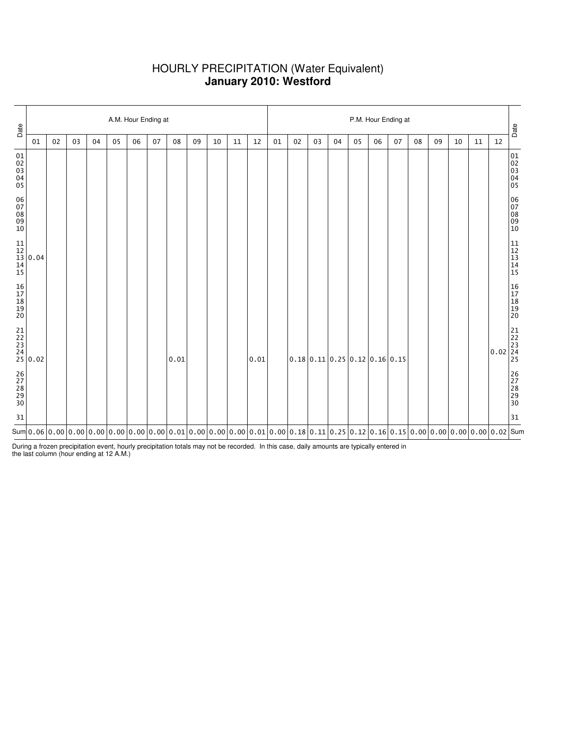# HOURLY PRECIPITATION (Water Equivalent) **January 2010: Westford**

| Date                             |                                                                   | A.M. Hour Ending at |    |    |    |    |    |                                                                                                                                                                                                                                                                                                |    |    |    |      |    |    |    | P.M. Hour Ending at |                                                          |    |    |    |    |    |    |                                                                   |                                                           |  |  |  |  |
|----------------------------------|-------------------------------------------------------------------|---------------------|----|----|----|----|----|------------------------------------------------------------------------------------------------------------------------------------------------------------------------------------------------------------------------------------------------------------------------------------------------|----|----|----|------|----|----|----|---------------------|----------------------------------------------------------|----|----|----|----|----|----|-------------------------------------------------------------------|-----------------------------------------------------------|--|--|--|--|
|                                  | 01                                                                | 02                  | 03 | 04 | 05 | 06 | 07 | 08                                                                                                                                                                                                                                                                                             | 09 | 10 | 11 | 12   | 01 | 02 | 03 | 04                  | 05                                                       | 06 | 07 | 08 | 09 | 10 | 11 | 12                                                                | Date                                                      |  |  |  |  |
| 01<br>02<br>03<br>04<br>05       |                                                                   |                     |    |    |    |    |    |                                                                                                                                                                                                                                                                                                |    |    |    |      |    |    |    |                     |                                                          |    |    |    |    |    |    |                                                                   | 01<br>02<br>03<br>04<br>04<br>05                          |  |  |  |  |
| 06<br>07<br>08<br>09<br>10       |                                                                   |                     |    |    |    |    |    |                                                                                                                                                                                                                                                                                                |    |    |    |      |    |    |    |                     |                                                          |    |    |    |    |    |    |                                                                   | 06<br>07<br>08<br>09<br>09<br>10                          |  |  |  |  |
|                                  | $\begin{array}{c} 11 \\ 12 \\ 13 \\ 14 \\ 15 \end{array} 0.04$    |                     |    |    |    |    |    |                                                                                                                                                                                                                                                                                                |    |    |    |      |    |    |    |                     |                                                          |    |    |    |    |    |    |                                                                   | $\begin{array}{c} 11 \\ 12 \\ 13 \\ 14 \\ 15 \end{array}$ |  |  |  |  |
| 16<br>17<br>18<br>19<br>19<br>20 |                                                                   |                     |    |    |    |    |    |                                                                                                                                                                                                                                                                                                |    |    |    |      |    |    |    |                     |                                                          |    |    |    |    |    |    |                                                                   | 16<br>17<br>18<br>19<br>19<br>20                          |  |  |  |  |
|                                  | $\begin{array}{c} 21 \\ 22 \\ 23 \\ 24 \\ 25 \\ 0.02 \end{array}$ |                     |    |    |    |    |    | 0.01                                                                                                                                                                                                                                                                                           |    |    |    | 0.01 |    |    |    |                     | $0.18 \mid 0.11 \mid 0.25 \mid 0.12 \mid 0.16 \mid 0.15$ |    |    |    |    |    |    | $\begin{array}{c} 21 \\ 22 \\ 23 \\ 0.02 \\ 24 \\ 25 \end{array}$ |                                                           |  |  |  |  |
| 26<br>27<br>28<br>29<br>29<br>30 |                                                                   |                     |    |    |    |    |    |                                                                                                                                                                                                                                                                                                |    |    |    |      |    |    |    |                     |                                                          |    |    |    |    |    |    |                                                                   | 26<br>27<br>28<br>29<br>29<br>30                          |  |  |  |  |
| 31                               |                                                                   |                     |    |    |    |    |    |                                                                                                                                                                                                                                                                                                |    |    |    |      |    |    |    |                     |                                                          |    |    |    |    |    |    |                                                                   | 31                                                        |  |  |  |  |
|                                  |                                                                   |                     |    |    |    |    |    | Sum $ $ 0.06 $ $ 0.00 $ $ 0.00 $ $ 0.00 $ $ 0.00 $ $ 0.00 $ $ 0.00 $ $ 0.00 $ $ 0.01 $ $ 0.00 $ $ 0.00 $ $ 0.00 $ $ 0.00 $ $ 0.00 $ $ 0.00 $ $ 0.00 $ $ 0.00 $ $ 0.00 $ $ 0.00 $ $ 0.00 $ $ 0.00 $ $ 0.00 $ $ 0.00 $ $ 0.00 $ $ 0.00 $ $ 0.00 $ $ 0.00 $ $ 0.00 $ $ 0.00 $ $ 0.00 $ $ 0.00 $ $ |    |    |    |      |    |    |    |                     |                                                          |    |    |    |    |    |    |                                                                   |                                                           |  |  |  |  |

During a frozen precipitation event, hourly precipitation totals may not be recorded. In this case, daily amounts are typically entered in the last column (hour ending at 12 A.M.)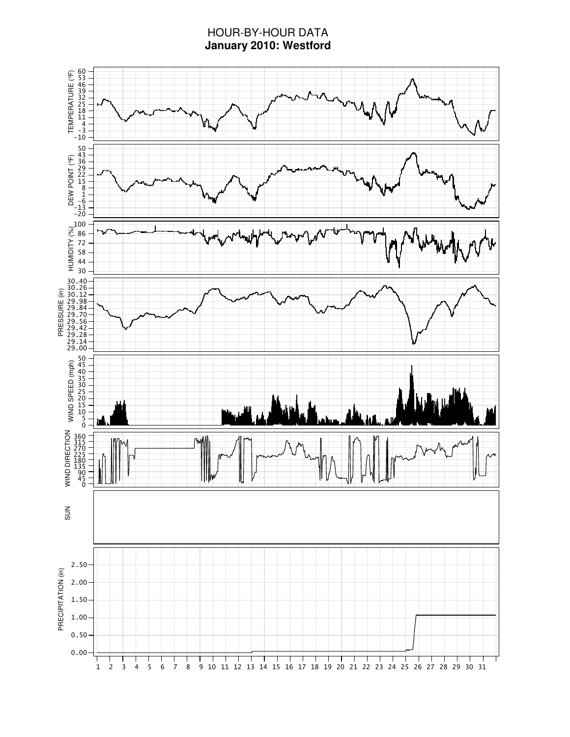# HOUR-BY-HOUR DATA **January 2010: Westford**